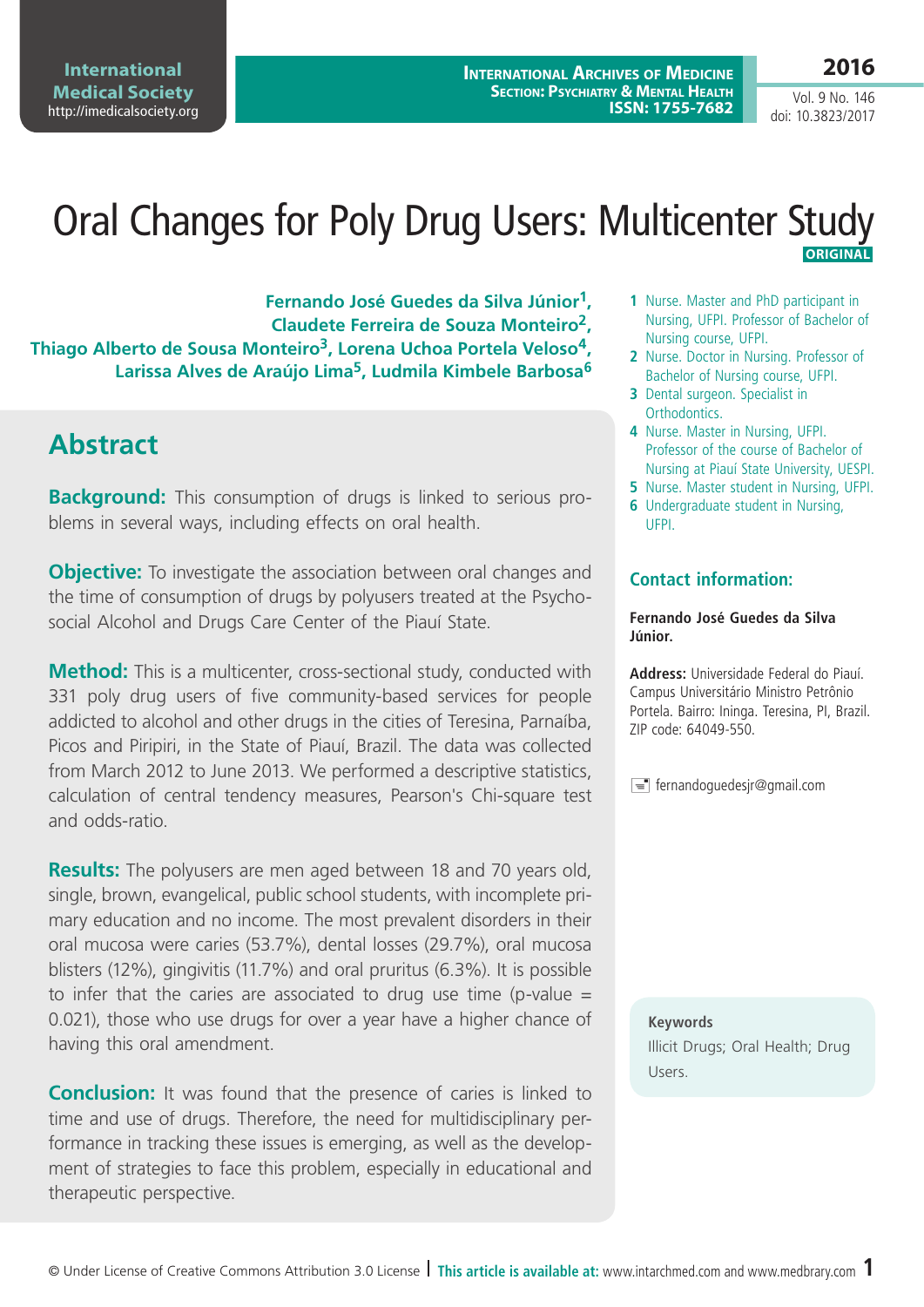**International Medical Society**  <http://imedicalsociety.org> **2016**

Vol. 9 No. 146 doi: 10.3823/2017

### Oral Changes for Poly Drug Users: Multicenter Study  **ORIGINAL**

**Fernando José Guedes da Silva Júnior1, Claudete Ferreira de Souza Monteiro2, Thiago Alberto de Sousa Monteiro3, Lorena Uchoa Portela Veloso4, Larissa Alves de Araújo Lima5, Ludmila Kimbele Barbosa6**

# **Abstract**

**Background:** This consumption of drugs is linked to serious problems in several ways, including effects on oral health.

**Objective:** To investigate the association between oral changes and the time of consumption of drugs by polyusers treated at the Psychosocial Alcohol and Drugs Care Center of the Piauí State.

**Method:** This is a multicenter, cross-sectional study, conducted with 331 poly drug users of five community-based services for people addicted to alcohol and other drugs in the cities of Teresina, Parnaíba, Picos and Piripiri, in the State of Piauí, Brazil. The data was collected from March 2012 to June 2013. We performed a descriptive statistics, calculation of central tendency measures, Pearson's Chi-square test and odds-ratio.

**Results:** The polyusers are men aged between 18 and 70 years old, single, brown, evangelical, public school students, with incomplete primary education and no income. The most prevalent disorders in their oral mucosa were caries (53.7%), dental losses (29.7%), oral mucosa blisters (12%), gingivitis (11.7%) and oral pruritus (6.3%). It is possible to infer that the caries are associated to drug use time (p-value  $=$ 0.021), those who use drugs for over a year have a higher chance of having this oral amendment.

**Conclusion:** It was found that the presence of caries is linked to time and use of drugs. Therefore, the need for multidisciplinary performance in tracking these issues is emerging, as well as the development of strategies to face this problem, especially in educational and therapeutic perspective.

- **1** Nurse. Master and PhD participant in Nursing, UFPI. Professor of Bachelor of Nursing course, UFPI.
- **2** Nurse. Doctor in Nursing. Professor of Bachelor of Nursing course, UFPI.
- **3** Dental surgeon. Specialist in Orthodontics.
- **4** Nurse. Master in Nursing, UFPI. Professor of the course of Bachelor of Nursing at Piauí State University, UESPI.
- **5** Nurse. Master student in Nursing, UFPI.
- **6** Undergraduate student in Nursing, UFPI.

#### **Contact information:**

#### **Fernando José Guedes da Silva Júnior.**

**Address:** Universidade Federal do Piauí. Campus Universitário Ministro Petrônio Portela. Bairro: Ininga. Teresina, PI, Brazil. ZIP code: 64049-550.

 $\equiv$  fernandoguedesjr@gmail.com

**Keywords** Illicit Drugs; Oral Health; Drug Users.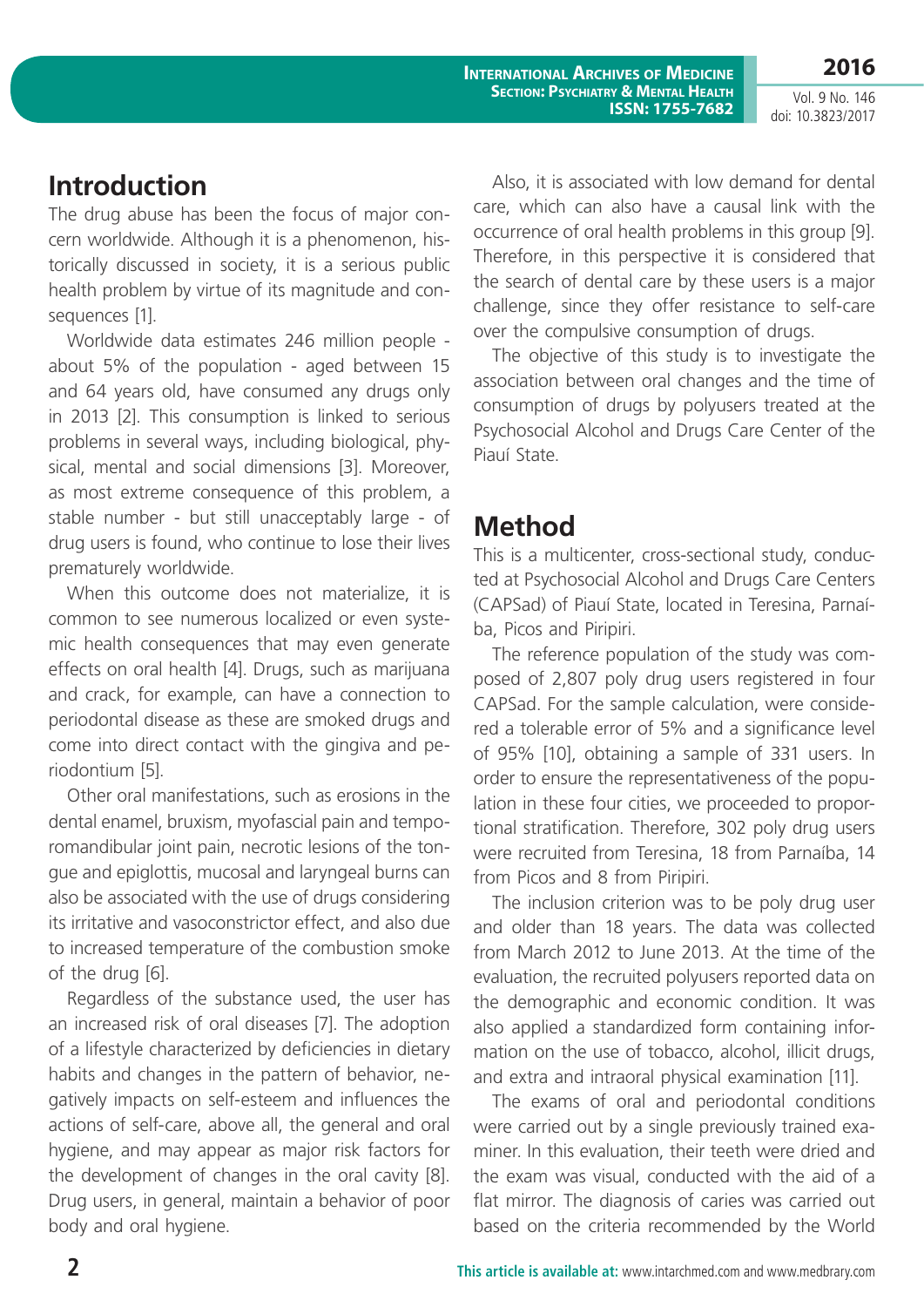**International Archives of Medicine Section: Psychiatry & Mental Health ISSN: 1755-7682** **2016**

Vol. 9 No. 146 doi: 10.3823/2017

## **Introduction**

The drug abuse has been the focus of major concern worldwide. Although it is a phenomenon, historically discussed in society, it is a serious public health problem by virtue of its magnitude and consequences [1].

Worldwide data estimates 246 million people about 5% of the population - aged between 15 and 64 years old, have consumed any drugs only in 2013 [2]. This consumption is linked to serious problems in several ways, including biological, physical, mental and social dimensions [3]. Moreover, as most extreme consequence of this problem, a stable number - but still unacceptably large - of drug users is found, who continue to lose their lives prematurely worldwide.

When this outcome does not materialize, it is common to see numerous localized or even systemic health consequences that may even generate effects on oral health [4]. Drugs, such as marijuana and crack, for example, can have a connection to periodontal disease as these are smoked drugs and come into direct contact with the gingiva and periodontium [5].

Other oral manifestations, such as erosions in the dental enamel, bruxism, myofascial pain and temporomandibular joint pain, necrotic lesions of the tongue and epiglottis, mucosal and laryngeal burns can also be associated with the use of drugs considering its irritative and vasoconstrictor effect, and also due to increased temperature of the combustion smoke of the drug [6].

Regardless of the substance used, the user has an increased risk of oral diseases [7]. The adoption of a lifestyle characterized by deficiencies in dietary habits and changes in the pattern of behavior, negatively impacts on self-esteem and influences the actions of self-care, above all, the general and oral hygiene, and may appear as major risk factors for the development of changes in the oral cavity [8]. Drug users, in general, maintain a behavior of poor body and oral hygiene.

Also, it is associated with low demand for dental care, which can also have a causal link with the occurrence of oral health problems in this group [9]. Therefore, in this perspective it is considered that the search of dental care by these users is a major challenge, since they offer resistance to self-care over the compulsive consumption of drugs.

The objective of this study is to investigate the association between oral changes and the time of consumption of drugs by polyusers treated at the Psychosocial Alcohol and Drugs Care Center of the Piauí State.

# **Method**

This is a multicenter, cross-sectional study, conducted at Psychosocial Alcohol and Drugs Care Centers (CAPSad) of Piauí State, located in Teresina, Parnaíba, Picos and Piripiri.

The reference population of the study was composed of 2,807 poly drug users registered in four CAPSad. For the sample calculation, were considered a tolerable error of 5% and a significance level of 95% [10], obtaining a sample of 331 users. In order to ensure the representativeness of the population in these four cities, we proceeded to proportional stratification. Therefore, 302 poly drug users were recruited from Teresina, 18 from Parnaíba, 14 from Picos and 8 from Piripiri.

The inclusion criterion was to be poly drug user and older than 18 years. The data was collected from March 2012 to June 2013. At the time of the evaluation, the recruited polyusers reported data on the demographic and economic condition. It was also applied a standardized form containing information on the use of tobacco, alcohol, illicit drugs, and extra and intraoral physical examination [11].

The exams of oral and periodontal conditions were carried out by a single previously trained examiner. In this evaluation, their teeth were dried and the exam was visual, conducted with the aid of a flat mirror. The diagnosis of caries was carried out based on the criteria recommended by the World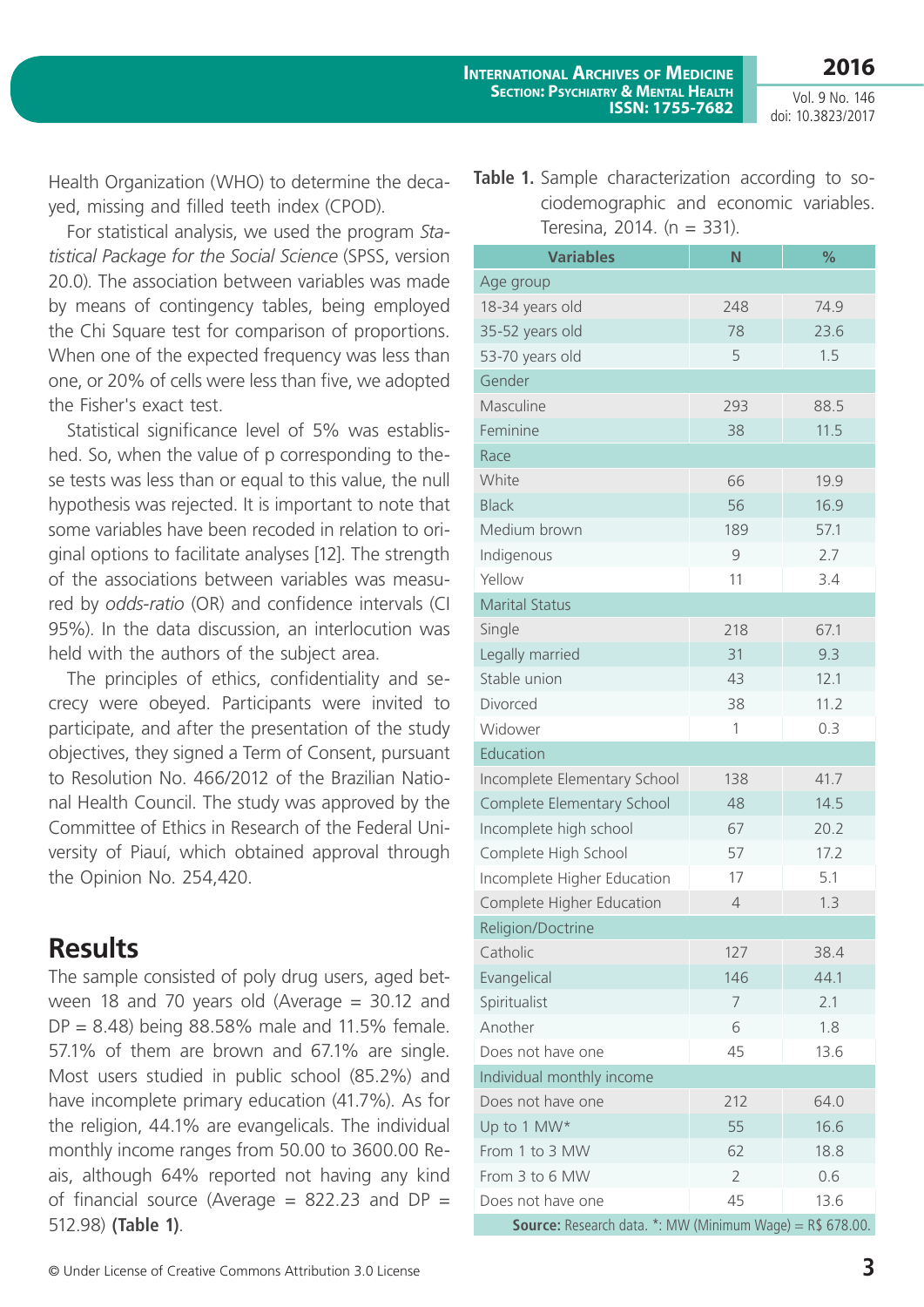Vol. 9 No. 146 doi: 10.3823/2017

Health Organization (WHO) to determine the decayed, missing and filled teeth index (CPOD).

For statistical analysis, we used the program *Statistical Package for the Social Science* (SPSS, version 20.0). The association between variables was made by means of contingency tables, being employed the Chi Square test for comparison of proportions. When one of the expected frequency was less than one, or 20% of cells were less than five, we adopted the Fisher's exact test.

Statistical significance level of 5% was established. So, when the value of p corresponding to these tests was less than or equal to this value, the null hypothesis was rejected. It is important to note that some variables have been recoded in relation to original options to facilitate analyses [12]. The strength of the associations between variables was measured by *odds-ratio* (OR) and confidence intervals (CI 95%). In the data discussion, an interlocution was held with the authors of the subject area.

The principles of ethics, confidentiality and secrecy were obeyed. Participants were invited to participate, and after the presentation of the study objectives, they signed a Term of Consent, pursuant to Resolution No. 466/2012 of the Brazilian National Health Council. The study was approved by the Committee of Ethics in Research of the Federal University of Piauí, which obtained approval through the Opinion No. 254,420.

# **Results**

The sample consisted of poly drug users, aged between 18 and 70 years old (Average = 30.12 and  $DP = 8.48$ ) being 88.58% male and 11.5% female. 57.1% of them are brown and 67.1% are single. Most users studied in public school (85.2%) and have incomplete primary education (41.7%). As for the religion, 44.1% are evangelicals. The individual monthly income ranges from 50.00 to 3600.00 Reais, although 64% reported not having any kind of financial source (Average  $= 822.23$  and DP  $=$ 512.98) **(Table 1)**.

**Table 1.** Sample characterization according to sociodemographic and economic variables. Teresina, 2014. (n = 331).

| <b>Variables</b>                                                     | N              | %    |  |  |  |  |
|----------------------------------------------------------------------|----------------|------|--|--|--|--|
| Age group                                                            |                |      |  |  |  |  |
| 18-34 years old                                                      | 248            | 74.9 |  |  |  |  |
| 35-52 years old                                                      | 78             | 23.6 |  |  |  |  |
| 53-70 years old                                                      | 5              | 1.5  |  |  |  |  |
| Gender                                                               |                |      |  |  |  |  |
| Masculine                                                            | 293            | 88.5 |  |  |  |  |
| Feminine                                                             | 38             | 11.5 |  |  |  |  |
| Race                                                                 |                |      |  |  |  |  |
| White                                                                | 66             | 19.9 |  |  |  |  |
| <b>Black</b>                                                         | 56             | 16.9 |  |  |  |  |
| Medium brown                                                         | 189            | 57.1 |  |  |  |  |
| Indigenous                                                           | 9              | 2.7  |  |  |  |  |
| Yellow                                                               | 11             | 3.4  |  |  |  |  |
| <b>Marital Status</b>                                                |                |      |  |  |  |  |
| Single                                                               | 218            | 67.1 |  |  |  |  |
| Legally married                                                      | 31             | 9.3  |  |  |  |  |
| Stable union                                                         | 43             | 12.1 |  |  |  |  |
| Divorced                                                             | 38             | 11.2 |  |  |  |  |
| Widower                                                              | 1              | 0.3  |  |  |  |  |
| Education                                                            |                |      |  |  |  |  |
| Incomplete Elementary School                                         | 138            | 41.7 |  |  |  |  |
| Complete Elementary School                                           | 48             | 14.5 |  |  |  |  |
| Incomplete high school                                               | 67             | 20.2 |  |  |  |  |
| Complete High School                                                 | 57             | 17.2 |  |  |  |  |
| Incomplete Higher Education                                          | 17             | 5.1  |  |  |  |  |
| Complete Higher Education                                            | $\overline{4}$ | 1.3  |  |  |  |  |
| Religion/Doctrine                                                    |                |      |  |  |  |  |
| Catholic                                                             | 127            | 38.4 |  |  |  |  |
| Evangelical                                                          | 146            | 44.1 |  |  |  |  |
| Spiritualist                                                         | 7              | 2.1  |  |  |  |  |
| Another                                                              | 6              | 1.8  |  |  |  |  |
| Does not have one                                                    | 45             | 13.6 |  |  |  |  |
| Individual monthly income                                            |                |      |  |  |  |  |
| Does not have one                                                    | 212            | 64.0 |  |  |  |  |
| Up to 1 MW*                                                          | 55             | 16.6 |  |  |  |  |
| From 1 to 3 MW                                                       | 62             | 18.8 |  |  |  |  |
| From 3 to 6 MW                                                       | $\overline{2}$ | 0.6  |  |  |  |  |
| Does not have one                                                    | 45             | 13.6 |  |  |  |  |
| <b>Source:</b> Research data. $*$ : MW (Minimum Wage) = $R$$ 678.00. |                |      |  |  |  |  |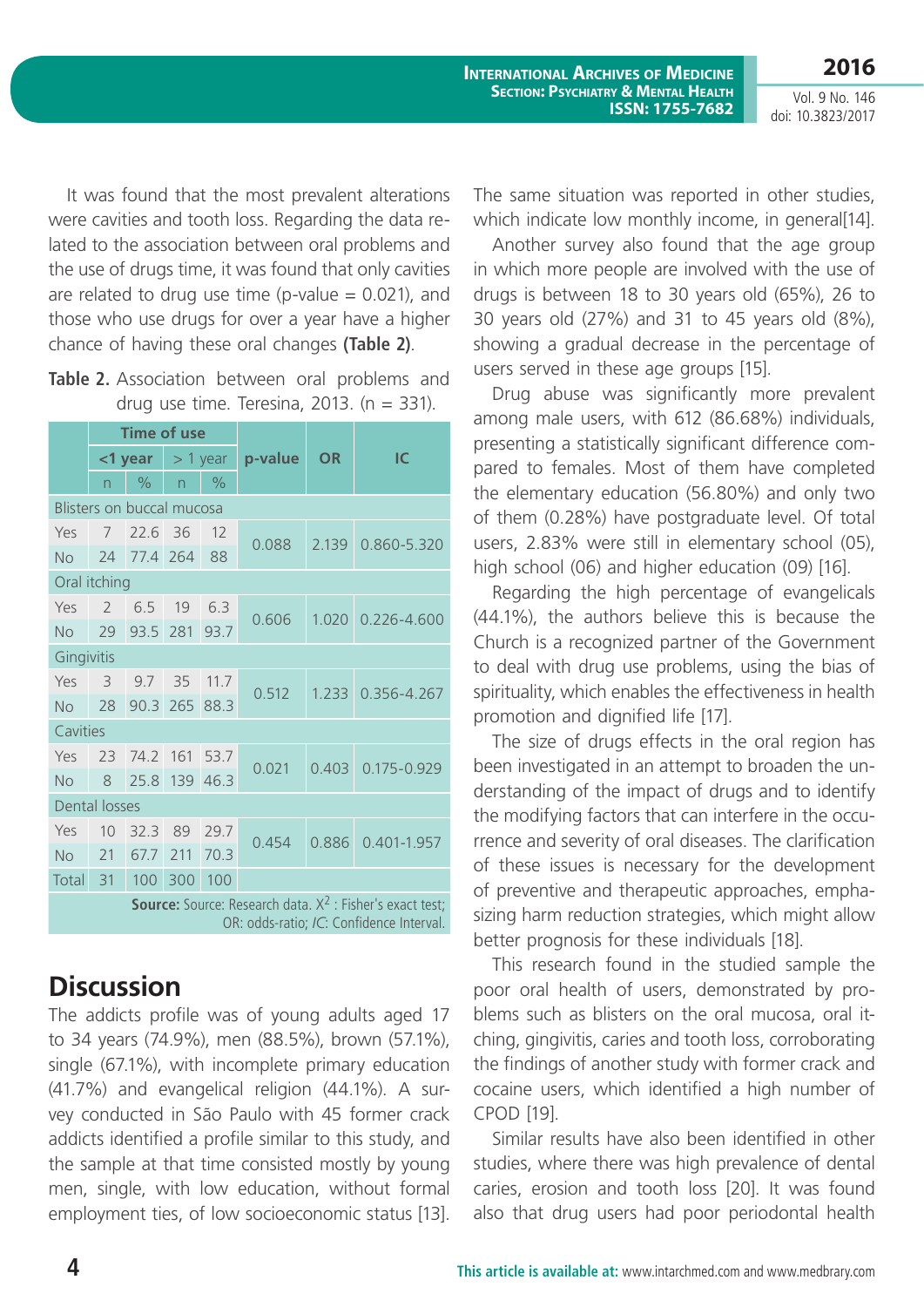**2016**

Vol. 9 No. 146 doi: 10.3823/2017

It was found that the most prevalent alterations were cavities and tooth loss. Regarding the data related to the association between oral problems and the use of drugs time, it was found that only cavities are related to drug use time (p-value  $= 0.021$ ), and those who use drugs for over a year have a higher chance of having these oral changes **(Table 2)**.

| Table 2. Association between oral problems and |  |  |
|------------------------------------------------|--|--|
| drug use time. Teresina, 2013. ( $n = 331$ ).  |  |  |

|                                                                                                                | <b>Time of use</b> |                  |                          |               |         |           |                 |  |
|----------------------------------------------------------------------------------------------------------------|--------------------|------------------|--------------------------|---------------|---------|-----------|-----------------|--|
|                                                                                                                |                    | <1 year          | $>$ 1 year               |               | p-value | <b>OR</b> | IC              |  |
|                                                                                                                | n                  | $\frac{0}{0}$    | $\overline{\phantom{0}}$ | $\frac{0}{0}$ |         |           |                 |  |
| Blisters on buccal mucosa                                                                                      |                    |                  |                          |               |         |           |                 |  |
| Yes                                                                                                            | 7                  | 22.6             | 36                       | 12            | 0.088   | 2.139     | 0.860-5.320     |  |
| <b>No</b>                                                                                                      | 24                 | 77.4             | 264                      | 88            |         |           |                 |  |
| Oral itching                                                                                                   |                    |                  |                          |               |         |           |                 |  |
| Yes                                                                                                            | $\mathcal{P}$      | 6.5              | 19                       | 6.3           | 0.606   | 1.020     | $0.226 - 4.600$ |  |
| No                                                                                                             | 29                 | 93.5             | 281                      | 93.7          |         |           |                 |  |
| Gingivitis                                                                                                     |                    |                  |                          |               |         |           |                 |  |
| Yes                                                                                                            | 3                  | 9.7              | 35                       | 11.7          | 0.512   | 1.233     | 0.356-4.267     |  |
| No                                                                                                             | 28                 | 90.3             | 265                      | 88.3          |         |           |                 |  |
| Cavities                                                                                                       |                    |                  |                          |               |         |           |                 |  |
| Yes                                                                                                            | 23                 | 74.2             | 161                      | 53.7          | 0.021   | 0.403     | 0.175-0.929     |  |
| No                                                                                                             | 8                  | 25.8             | 139                      | 46.3          |         |           |                 |  |
| <b>Dental losses</b>                                                                                           |                    |                  |                          |               |         |           |                 |  |
| Yes                                                                                                            | 10                 | 32.3             | 89                       | 29.7          | 0.454   | 0.886     | 0.401-1.957     |  |
| <b>No</b>                                                                                                      | 21                 | 67.7             | 211                      | 70.3          |         |           |                 |  |
| Total                                                                                                          | 31                 | 100 <sup>°</sup> | 300                      | 100           |         |           |                 |  |
| <b>Source:</b> Source: Research data. $X^2$ : Fisher's exact test;<br>OR: odds-ratio; IC: Confidence Interval. |                    |                  |                          |               |         |           |                 |  |

### **Discussion**

The addicts profile was of young adults aged 17 to 34 years (74.9%), men (88.5%), brown (57.1%), single (67.1%), with incomplete primary education (41.7%) and evangelical religion (44.1%). A survey conducted in São Paulo with 45 former crack addicts identified a profile similar to this study, and the sample at that time consisted mostly by young men, single, with low education, without formal employment ties, of low socioeconomic status [13].

The same situation was reported in other studies, which indicate low monthly income, in general[14].

Another survey also found that the age group in which more people are involved with the use of drugs is between 18 to 30 years old (65%), 26 to 30 years old (27%) and 31 to 45 years old (8%), showing a gradual decrease in the percentage of users served in these age groups [15].

Drug abuse was significantly more prevalent among male users, with 612 (86.68%) individuals, presenting a statistically significant difference compared to females. Most of them have completed the elementary education (56.80%) and only two of them (0.28%) have postgraduate level. Of total users, 2.83% were still in elementary school (05), high school (06) and higher education (09) [16].

Regarding the high percentage of evangelicals (44.1%), the authors believe this is because the Church is a recognized partner of the Government to deal with drug use problems, using the bias of spirituality, which enables the effectiveness in health promotion and dignified life [17].

The size of drugs effects in the oral region has been investigated in an attempt to broaden the understanding of the impact of drugs and to identify the modifying factors that can interfere in the occurrence and severity of oral diseases. The clarification of these issues is necessary for the development of preventive and therapeutic approaches, emphasizing harm reduction strategies, which might allow better prognosis for these individuals [18].

This research found in the studied sample the poor oral health of users, demonstrated by problems such as blisters on the oral mucosa, oral itching, gingivitis, caries and tooth loss, corroborating the findings of another study with former crack and cocaine users, which identified a high number of CPOD [19].

Similar results have also been identified in other studies, where there was high prevalence of dental caries, erosion and tooth loss [20]. It was found also that drug users had poor periodontal health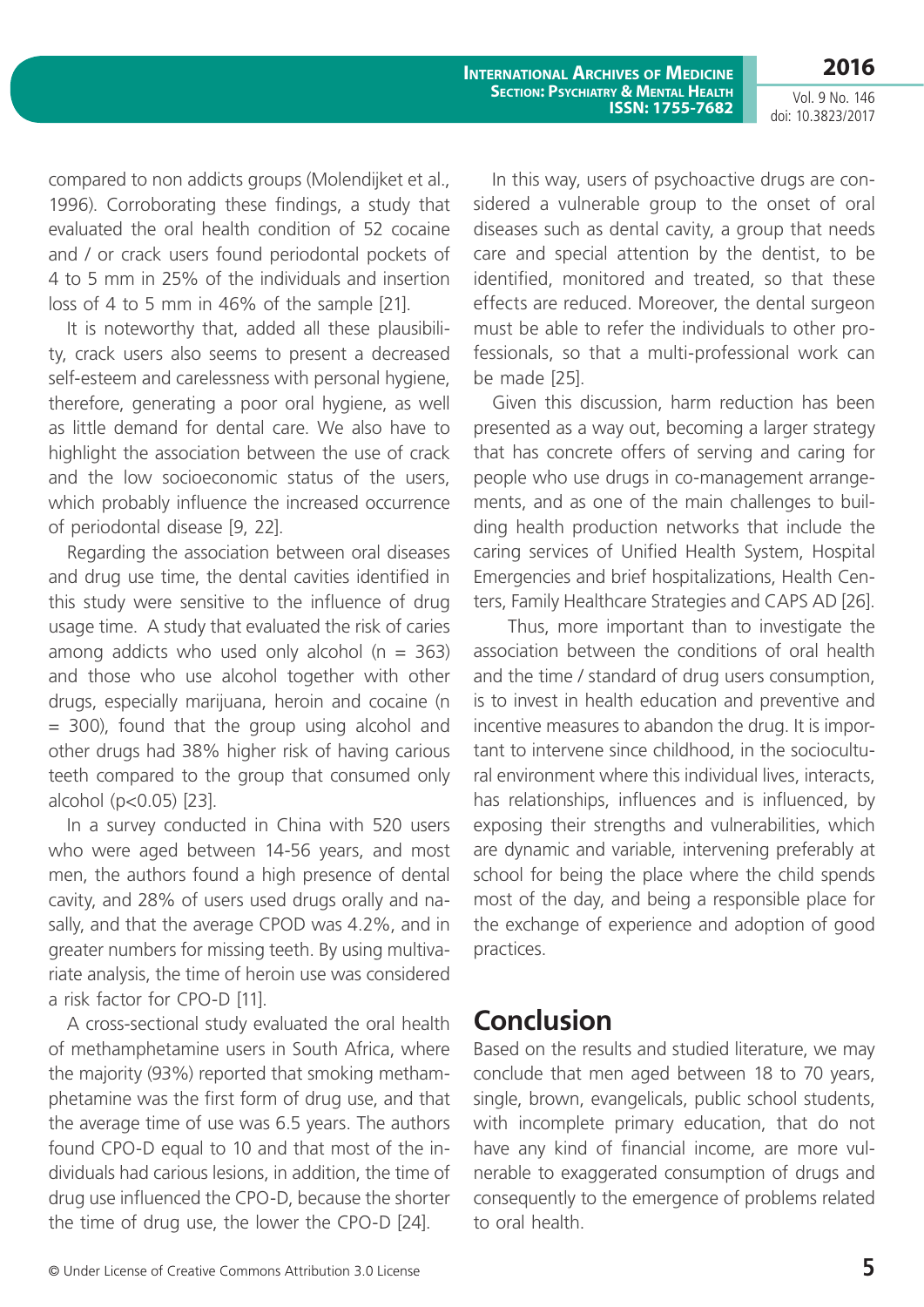**2016** Vol. 9 No. 146 doi: 10.3823/2017

compared to non addicts groups (Molendijket et al., 1996). Corroborating these findings, a study that evaluated the oral health condition of 52 cocaine and / or crack users found periodontal pockets of 4 to 5 mm in 25% of the individuals and insertion loss of 4 to 5 mm in 46% of the sample [21].

It is noteworthy that, added all these plausibility, crack users also seems to present a decreased self-esteem and carelessness with personal hygiene, therefore, generating a poor oral hygiene, as well as little demand for dental care. We also have to highlight the association between the use of crack and the low socioeconomic status of the users, which probably influence the increased occurrence of periodontal disease [9, 22].

Regarding the association between oral diseases and drug use time, the dental cavities identified in this study were sensitive to the influence of drug usage time. A study that evaluated the risk of caries among addicts who used only alcohol ( $n = 363$ ) and those who use alcohol together with other drugs, especially marijuana, heroin and cocaine (n = 300), found that the group using alcohol and other drugs had 38% higher risk of having carious teeth compared to the group that consumed only alcohol (p<0.05) [23].

In a survey conducted in China with 520 users who were aged between 14-56 years, and most men, the authors found a high presence of dental cavity, and 28% of users used drugs orally and nasally, and that the average CPOD was 4.2%, and in greater numbers for missing teeth. By using multivariate analysis, the time of heroin use was considered a risk factor for CPO-D [11].

A cross-sectional study evaluated the oral health of methamphetamine users in South Africa, where the majority (93%) reported that smoking methamphetamine was the first form of drug use, and that the average time of use was 6.5 years. The authors found CPO-D equal to 10 and that most of the individuals had carious lesions, in addition, the time of drug use influenced the CPO-D, because the shorter the time of drug use, the lower the CPO-D [24].

In this way, users of psychoactive drugs are considered a vulnerable group to the onset of oral diseases such as dental cavity, a group that needs care and special attention by the dentist, to be identified, monitored and treated, so that these effects are reduced. Moreover, the dental surgeon must be able to refer the individuals to other professionals, so that a multi-professional work can be made [25].

Given this discussion, harm reduction has been presented as a way out, becoming a larger strategy that has concrete offers of serving and caring for people who use drugs in co-management arrangements, and as one of the main challenges to building health production networks that include the caring services of Unified Health System, Hospital Emergencies and brief hospitalizations, Health Centers, Family Healthcare Strategies and CAPS AD [26].

 Thus, more important than to investigate the association between the conditions of oral health and the time / standard of drug users consumption, is to invest in health education and preventive and incentive measures to abandon the drug. It is important to intervene since childhood, in the sociocultural environment where this individual lives, interacts, has relationships, influences and is influenced, by exposing their strengths and vulnerabilities, which are dynamic and variable, intervening preferably at school for being the place where the child spends most of the day, and being a responsible place for the exchange of experience and adoption of good practices.

### **Conclusion**

Based on the results and studied literature, we may conclude that men aged between 18 to 70 years, single, brown, evangelicals, public school students, with incomplete primary education, that do not have any kind of financial income, are more vulnerable to exaggerated consumption of drugs and consequently to the emergence of problems related to oral health.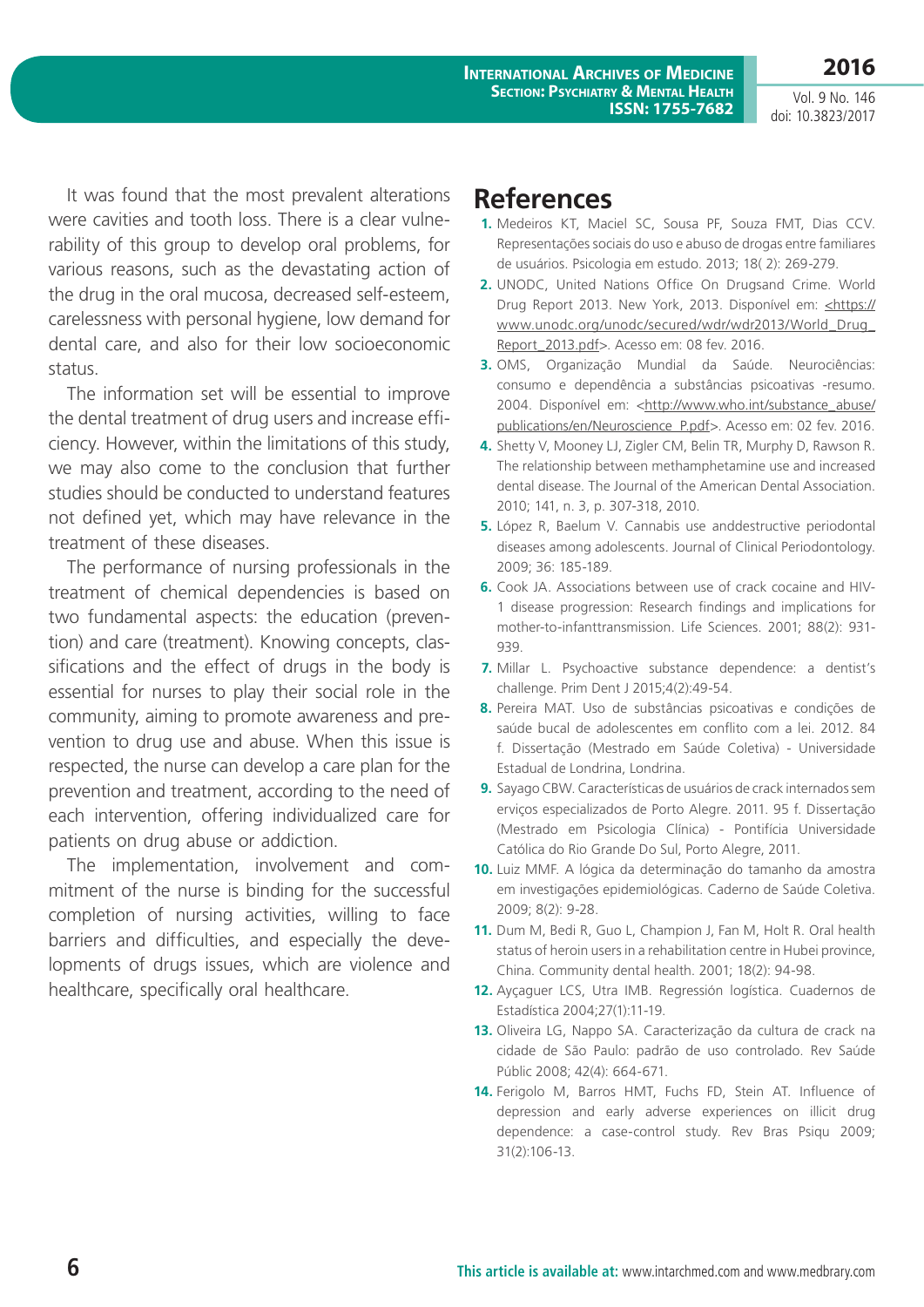**International Archives of Medicine Section: Psychiatry & Mental Health ISSN: 1755-7682**

Vol. 9 No. 146 doi: 10.3823/2017

**2016**

It was found that the most prevalent alterations were cavities and tooth loss. There is a clear vulnerability of this group to develop oral problems, for various reasons, such as the devastating action of the drug in the oral mucosa, decreased self-esteem, carelessness with personal hygiene, low demand for dental care, and also for their low socioeconomic status.

The information set will be essential to improve the dental treatment of drug users and increase efficiency. However, within the limitations of this study, we may also come to the conclusion that further studies should be conducted to understand features not defined yet, which may have relevance in the treatment of these diseases.

The performance of nursing professionals in the treatment of chemical dependencies is based on two fundamental aspects: the education (prevention) and care (treatment). Knowing concepts, classifications and the effect of drugs in the body is essential for nurses to play their social role in the community, aiming to promote awareness and prevention to drug use and abuse. When this issue is respected, the nurse can develop a care plan for the prevention and treatment, according to the need of each intervention, offering individualized care for patients on drug abuse or addiction.

The implementation, involvement and commitment of the nurse is binding for the successful completion of nursing activities, willing to face barriers and difficulties, and especially the developments of drugs issues, which are violence and healthcare, specifically oral healthcare.

### **References**

- **1.** Medeiros KT, Maciel SC, Sousa PF, Souza FMT, Dias CCV. Representações sociais do uso e abuso de drogas entre familiares de usuários. Psicologia em estudo. 2013; 18( 2): 269-279.
- **2.** UNODC, United Nations Office On Drugsand Crime. World Drug Report 2013. New York, 2013. Disponível em: [<https://](<https://www.unodc.org/unodc/secured/wdr/wdr2013/World_Drug_Report_2013.pdf) [www.unodc.org/unodc/secured/wdr/wdr2013/World\\_Drug\\_](<https://www.unodc.org/unodc/secured/wdr/wdr2013/World_Drug_Report_2013.pdf) [Report\\_2013.pdf](<https://www.unodc.org/unodc/secured/wdr/wdr2013/World_Drug_Report_2013.pdf)>. Acesso em: 08 fev. 2016.
- **3.** OMS, Organização Mundial da Saúde. Neurociências: consumo e dependência a substâncias psicoativas -resumo. 2004. Disponível em: <[http://www.who.int/substance\\_abuse/](http://www.who.int/substance_abuse/publications/en/Neuroscience_P.pdf) [publications/en/Neuroscience\\_P.pdf>](http://www.who.int/substance_abuse/publications/en/Neuroscience_P.pdf). Acesso em: 02 fev. 2016.
- **4.** Shetty V, Mooney LJ, Zigler CM, Belin TR, Murphy D, Rawson R. The relationship between methamphetamine use and increased dental disease. The Journal of the American Dental Association. 2010; 141, n. 3, p. 307-318, 2010.
- **5.** López R, Baelum V. Cannabis use anddestructive periodontal diseases among adolescents. Journal of Clinical Periodontology. 2009; 36: 185-189.
- **6.** Cook JA. Associations between use of crack cocaine and HIV-1 disease progression: Research findings and implications for mother-to-infanttransmission. Life Sciences. 2001; 88(2): 931- 939.
- **7.** Millar L. Psychoactive substance dependence: a dentist's challenge. Prim Dent J 2015;4(2):49-54.
- **8.** Pereira MAT. Uso de substâncias psicoativas e condições de saúde bucal de adolescentes em conflito com a lei. 2012. 84 f. Dissertação (Mestrado em Saúde Coletiva) - Universidade Estadual de Londrina, Londrina.
- **9.** Sayago CBW. Características de usuários de crack internados sem erviços especializados de Porto Alegre. 2011. 95 f. Dissertação (Mestrado em Psicologia Clínica) - Pontifícia Universidade Católica do Rio Grande Do Sul, Porto Alegre, 2011.
- **10.** Luiz MMF. A lógica da determinação do tamanho da amostra em investigações epidemiológicas. Caderno de Saúde Coletiva. 2009; 8(2): 9-28.
- **11.** Dum M, Bedi R, Guo L, Champion J, Fan M, Holt R. Oral health status of heroin users in a rehabilitation centre in Hubei province, China. Community dental health. 2001; 18(2): 94-98.
- **12.** Ayçaguer LCS, Utra IMB. Regressión logística. Cuadernos de Estadística 2004;27(1):11-19.
- **13.** Oliveira LG, Nappo SA. Caracterização da cultura de crack na cidade de São Paulo: padrão de uso controlado. Rev Saúde Públic 2008; 42(4): 664-671.
- **14.** Ferigolo M, Barros HMT, Fuchs FD, Stein AT. Influence of depression and early adverse experiences on illicit drug dependence: a case-control study. Rev Bras Psiqu 2009; 31(2):106-13.